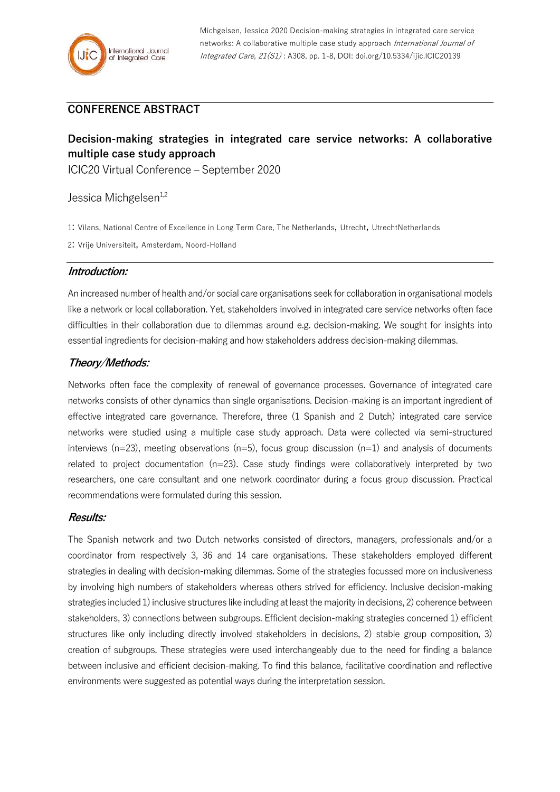## **CONFERENCE ABSTRACT**

# **Decision-making strategies in integrated care service networks: A collaborative multiple case study approach**

ICIC20 Virtual Conference – September 2020

## Jessica Michgelsen<sup>1,2</sup>

1: Vilans, National Centre of Excellence in Long Term Care, The Netherlands, Utrecht, UtrechtNetherlands

2: Vrije Universiteit, Amsterdam, Noord-Holland

### **Introduction:**

An increased number of health and/or social care organisations seek for collaboration in organisational models like a network or local collaboration. Yet, stakeholders involved in integrated care service networks often face difficulties in their collaboration due to dilemmas around e.g. decision-making. We sought for insights into essential ingredients for decision-making and how stakeholders address decision-making dilemmas.

## **Theory/Methods:**

Networks often face the complexity of renewal of governance processes. Governance of integrated care networks consists of other dynamics than single organisations. Decision-making is an important ingredient of effective integrated care governance. Therefore, three (1 Spanish and 2 Dutch) integrated care service networks were studied using a multiple case study approach. Data were collected via semi-structured interviews ( $n=23$ ), meeting observations ( $n=5$ ), focus group discussion ( $n=1$ ) and analysis of documents related to project documentation (n=23). Case study findings were collaboratively interpreted by two researchers, one care consultant and one network coordinator during a focus group discussion. Practical recommendations were formulated during this session.

### **Results:**

The Spanish network and two Dutch networks consisted of directors, managers, professionals and/or a coordinator from respectively 3, 36 and 14 care organisations. These stakeholders employed different strategies in dealing with decision-making dilemmas. Some of the strategies focussed more on inclusiveness by involving high numbers of stakeholders whereas others strived for efficiency. Inclusive decision-making strategies included 1) inclusive structures like including at least the majority in decisions, 2) coherence between stakeholders, 3) connections between subgroups. Efficient decision-making strategies concerned 1) efficient structures like only including directly involved stakeholders in decisions, 2) stable group composition, 3) creation of subgroups. These strategies were used interchangeably due to the need for finding a balance between inclusive and efficient decision-making. To find this balance, facilitative coordination and reflective environments were suggested as potential ways during the interpretation session.